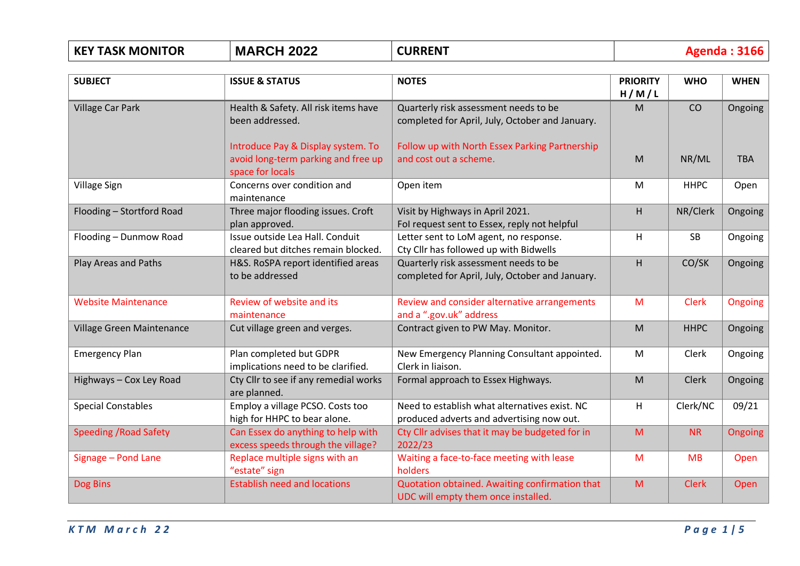| <b>KEY TASK MONITOR</b>       | <b>MARCH 2022</b>                                                                             | <b>CURRENT</b>                                                                             | <b>Agenda: 3166</b>      |              |             |
|-------------------------------|-----------------------------------------------------------------------------------------------|--------------------------------------------------------------------------------------------|--------------------------|--------------|-------------|
| <b>SUBJECT</b>                | <b>ISSUE &amp; STATUS</b>                                                                     | <b>NOTES</b>                                                                               | <b>PRIORITY</b><br>H/M/L | <b>WHO</b>   | <b>WHEN</b> |
| <b>Village Car Park</b>       | Health & Safety. All risk items have<br>been addressed.                                       | Quarterly risk assessment needs to be<br>completed for April, July, October and January.   | M                        | CO           | Ongoing     |
|                               | Introduce Pay & Display system. To<br>avoid long-term parking and free up<br>space for locals | Follow up with North Essex Parking Partnership<br>and cost out a scheme.                   | M                        | NR/ML        | <b>TBA</b>  |
| Village Sign                  | Concerns over condition and<br>maintenance                                                    | Open item                                                                                  | M                        | <b>HHPC</b>  | Open        |
| Flooding - Stortford Road     | Three major flooding issues. Croft<br>plan approved.                                          | Visit by Highways in April 2021.<br>Fol request sent to Essex, reply not helpful           | H                        | NR/Clerk     | Ongoing     |
| Flooding - Dunmow Road        | Issue outside Lea Hall. Conduit<br>cleared but ditches remain blocked.                        | Letter sent to LoM agent, no response.<br>Cty Cllr has followed up with Bidwells           | Н                        | <b>SB</b>    | Ongoing     |
| <b>Play Areas and Paths</b>   | H&S. RoSPA report identified areas<br>to be addressed                                         | Quarterly risk assessment needs to be<br>completed for April, July, October and January.   | H                        | CO/SK        | Ongoing     |
| <b>Website Maintenance</b>    | Review of website and its<br>maintenance                                                      | Review and consider alternative arrangements<br>and a ".gov.uk" address                    | M                        | <b>Clerk</b> | Ongoing     |
| Village Green Maintenance     | Cut village green and verges.                                                                 | Contract given to PW May. Monitor.                                                         | M                        | <b>HHPC</b>  | Ongoing     |
| <b>Emergency Plan</b>         | Plan completed but GDPR<br>implications need to be clarified.                                 | New Emergency Planning Consultant appointed.<br>Clerk in liaison.                          | M                        | Clerk        | Ongoing     |
| Highways - Cox Ley Road       | Cty Cllr to see if any remedial works<br>are planned.                                         | Formal approach to Essex Highways.                                                         | M                        | <b>Clerk</b> | Ongoing     |
| <b>Special Constables</b>     | Employ a village PCSO. Costs too<br>high for HHPC to bear alone.                              | Need to establish what alternatives exist. NC<br>produced adverts and advertising now out. | H                        | Clerk/NC     | 09/21       |
| <b>Speeding / Road Safety</b> | Can Essex do anything to help with<br>excess speeds through the village?                      | Cty Cllr advises that it may be budgeted for in<br>2022/23                                 | M                        | <b>NR</b>    | Ongoing     |
| Signage - Pond Lane           | Replace multiple signs with an<br>"estate" sign                                               | Waiting a face-to-face meeting with lease<br>holders                                       | M                        | <b>MB</b>    | Open        |
| Dog Bins                      | <b>Establish need and locations</b>                                                           | Quotation obtained. Awaiting confirmation that<br>UDC will empty them once installed.      | M                        | <b>Clerk</b> | Open        |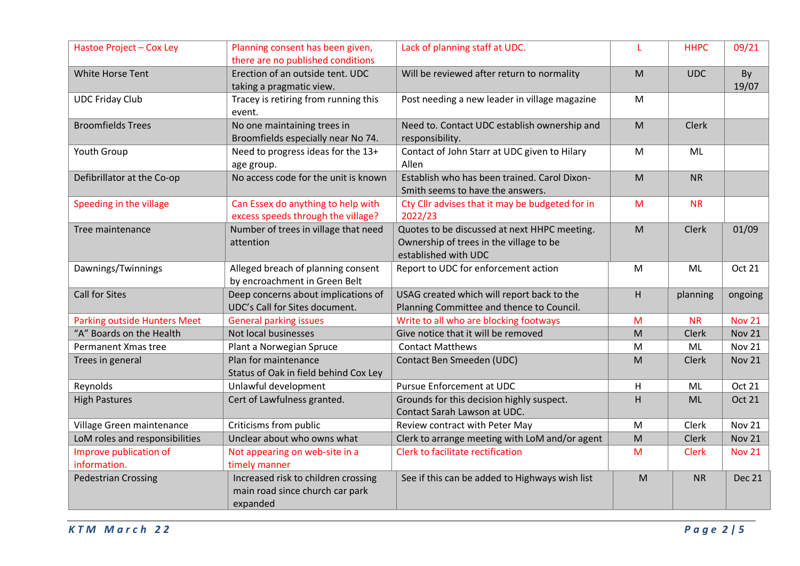| Hastoe Project - Cox Ley               | Planning consent has been given,<br>there are no published conditions              | Lack of planning staff at UDC.                                                                                  |   | <b>HHPC</b>  | 09/21         |
|----------------------------------------|------------------------------------------------------------------------------------|-----------------------------------------------------------------------------------------------------------------|---|--------------|---------------|
| White Horse Tent                       | Erection of an outside tent. UDC<br>taking a pragmatic view.                       | Will be reviewed after return to normality                                                                      | M | <b>UDC</b>   | By<br>19/07   |
| <b>UDC Friday Club</b>                 | Tracey is retiring from running this<br>event.                                     | Post needing a new leader in village magazine                                                                   | M |              |               |
| <b>Broomfields Trees</b>               | No one maintaining trees in<br>Broomfields especially near No 74.                  | Need to. Contact UDC establish ownership and<br>responsibility.                                                 | M | <b>Clerk</b> |               |
| Youth Group                            | Need to progress ideas for the 13+<br>age group.                                   | Contact of John Starr at UDC given to Hilary<br>Allen                                                           | M | ML           |               |
| Defibrillator at the Co-op             | No access code for the unit is known                                               | Establish who has been trained. Carol Dixon-<br>Smith seems to have the answers.                                | M | <b>NR</b>    |               |
| Speeding in the village                | Can Essex do anything to help with<br>excess speeds through the village?           | Cty Cllr advises that it may be budgeted for in<br>2022/23                                                      | M | <b>NR</b>    |               |
| Tree maintenance                       | Number of trees in village that need<br>attention                                  | Quotes to be discussed at next HHPC meeting.<br>Ownership of trees in the village to be<br>established with UDC | M | <b>Clerk</b> | 01/09         |
| Dawnings/Twinnings                     | Alleged breach of planning consent<br>by encroachment in Green Belt                | Report to UDC for enforcement action                                                                            | M | <b>ML</b>    | Oct 21        |
| <b>Call for Sites</b>                  | Deep concerns about implications of<br>UDC's Call for Sites document.              | USAG created which will report back to the<br>Planning Committee and thence to Council.                         | H | planning     | ongoing       |
| <b>Parking outside Hunters Meet</b>    | <b>General parking issues</b>                                                      | Write to all who are blocking footways                                                                          | M | <b>NR</b>    | <b>Nov 21</b> |
| "A" Boards on the Health               | Not local businesses                                                               | Give notice that it will be removed                                                                             | M | Clerk        | <b>Nov 21</b> |
| Permanent Xmas tree                    | Plant a Norwegian Spruce                                                           | <b>Contact Matthews</b>                                                                                         | M | ML           | <b>Nov 21</b> |
| Trees in general                       | Plan for maintenance<br>Status of Oak in field behind Cox Ley                      | Contact Ben Smeeden (UDC)                                                                                       | M | Clerk        | <b>Nov 21</b> |
| Reynolds                               | Unlawful development                                                               | <b>Pursue Enforcement at UDC</b>                                                                                | H | ML           | Oct 21        |
| <b>High Pastures</b>                   | Cert of Lawfulness granted.                                                        | Grounds for this decision highly suspect.<br>Contact Sarah Lawson at UDC.                                       | H | <b>ML</b>    | <b>Oct 21</b> |
| Village Green maintenance              | Criticisms from public                                                             | Review contract with Peter May                                                                                  | M | Clerk        | <b>Nov 21</b> |
| LoM roles and responsibilities         | Unclear about who owns what                                                        | Clerk to arrange meeting with LoM and/or agent                                                                  | M | Clerk        | <b>Nov 21</b> |
| Improve publication of<br>information. | Not appearing on web-site in a<br>timely manner                                    | Clerk to facilitate rectification                                                                               | M | <b>Clerk</b> | <b>Nov 21</b> |
| <b>Pedestrian Crossing</b>             | Increased risk to children crossing<br>main road since church car park<br>expanded | See if this can be added to Highways wish list                                                                  | M | <b>NR</b>    | <b>Dec 21</b> |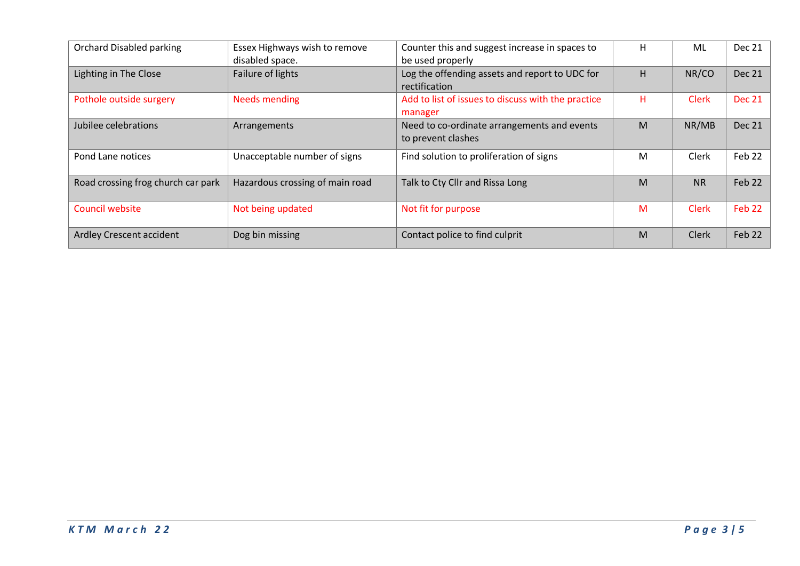| <b>Orchard Disabled parking</b>    | Essex Highways wish to remove<br>disabled space. | Counter this and suggest increase in spaces to<br>be used properly | н | ML           | Dec 21            |
|------------------------------------|--------------------------------------------------|--------------------------------------------------------------------|---|--------------|-------------------|
| Lighting in The Close              | Failure of lights                                | Log the offending assets and report to UDC for<br>rectification    | H | NR/CO        | Dec 21            |
| Pothole outside surgery            | <b>Needs mending</b>                             | Add to list of issues to discuss with the practice<br>manager      | н | <b>Clerk</b> | <b>Dec 21</b>     |
| Jubilee celebrations               | Arrangements                                     | Need to co-ordinate arrangements and events<br>to prevent clashes  | M | NR/MB        | <b>Dec 21</b>     |
| Pond Lane notices                  | Unacceptable number of signs                     | Find solution to proliferation of signs                            | M | <b>Clerk</b> | Feb 22            |
| Road crossing frog church car park | Hazardous crossing of main road                  | Talk to Cty Cllr and Rissa Long                                    | M | <b>NR</b>    | Feb 22            |
| Council website                    | Not being updated                                | Not fit for purpose                                                | M | <b>Clerk</b> | Feb <sub>22</sub> |
| Ardley Crescent accident           | Dog bin missing                                  | Contact police to find culprit                                     | M | Clerk        | Feb 22            |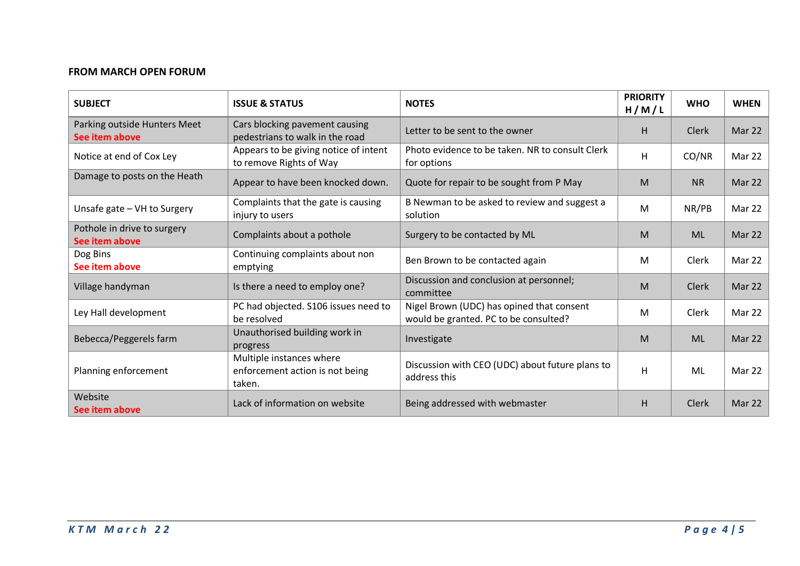## **FROM MARCH OPEN FORUM**

| <b>SUBJECT</b>                                 | <b>ISSUE &amp; STATUS</b>                                             | <b>NOTES</b>                                                                       | <b>PRIORITY</b><br>H/M/L | <b>WHO</b>   | <b>WHEN</b>   |
|------------------------------------------------|-----------------------------------------------------------------------|------------------------------------------------------------------------------------|--------------------------|--------------|---------------|
| Parking outside Hunters Meet<br>See item above | Cars blocking pavement causing<br>pedestrians to walk in the road     | Letter to be sent to the owner                                                     | H.                       | <b>Clerk</b> | Mar 22        |
| Notice at end of Cox Ley                       | Appears to be giving notice of intent<br>to remove Rights of Way      | Photo evidence to be taken. NR to consult Clerk<br>for options                     | Η                        | CO/NR        | Mar 22        |
| Damage to posts on the Heath                   | Appear to have been knocked down.                                     | Quote for repair to be sought from P May                                           | M                        | <b>NR</b>    | Mar 22        |
| Unsafe gate - VH to Surgery                    | Complaints that the gate is causing<br>injury to users                | B Newman to be asked to review and suggest a<br>solution                           | M                        | NR/PB        | Mar 22        |
| Pothole in drive to surgery<br>See item above  | Complaints about a pothole                                            | Surgery to be contacted by ML                                                      | M                        | <b>ML</b>    | Mar 22        |
| Dog Bins<br>See item above                     | Continuing complaints about non<br>emptying                           | Ben Brown to be contacted again                                                    | M                        | Clerk        | <b>Mar 22</b> |
| Village handyman                               | Is there a need to employ one?                                        | Discussion and conclusion at personnel;<br>committee                               | M                        | <b>Clerk</b> | Mar 22        |
| Ley Hall development                           | PC had objected. S106 issues need to<br>be resolved                   | Nigel Brown (UDC) has opined that consent<br>would be granted. PC to be consulted? | M                        | Clerk        | Mar 22        |
| Bebecca/Peggerels farm                         | Unauthorised building work in<br>progress                             | Investigate                                                                        | M                        | <b>ML</b>    | Mar 22        |
| Planning enforcement                           | Multiple instances where<br>enforcement action is not being<br>taken. | Discussion with CEO (UDC) about future plans to<br>address this                    | $\overline{H}$           | ML           | Mar 22        |
| Website<br>See item above                      | Lack of information on website                                        | Being addressed with webmaster                                                     | H                        | <b>Clerk</b> | Mar 22        |